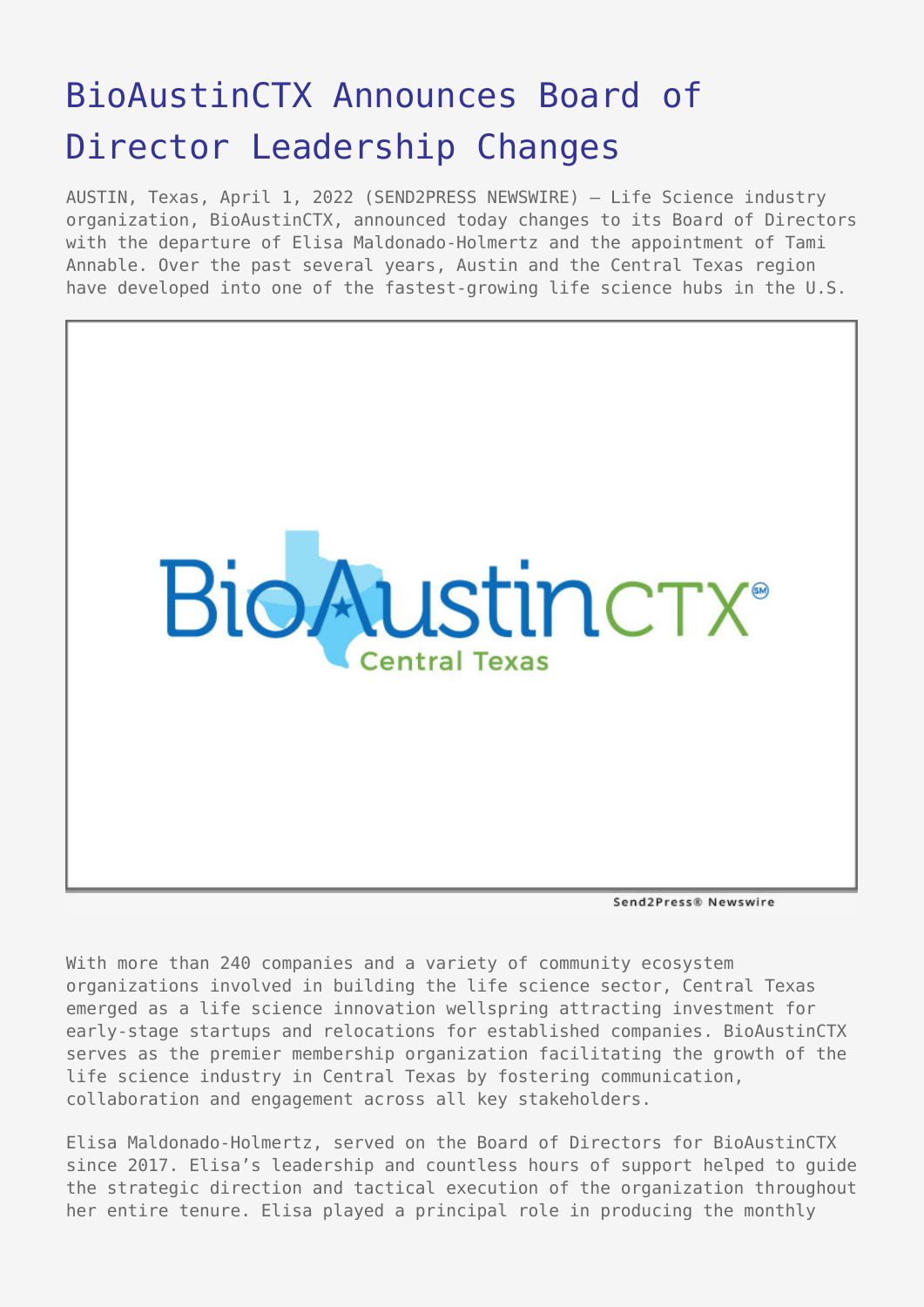## [BioAustinCTX Announces Board of](https://www.send2press.com/wire/bioaustinctx-announces-board-of-director-leadership-changes/) [Director Leadership Changes](https://www.send2press.com/wire/bioaustinctx-announces-board-of-director-leadership-changes/)

AUSTIN, Texas, April 1, 2022 (SEND2PRESS NEWSWIRE) — Life Science industry organization, BioAustinCTX, announced today changes to its Board of Directors with the departure of Elisa Maldonado-Holmertz and the appointment of Tami Annable. Over the past several years, Austin and the Central Texas region have developed into one of the fastest-growing life science hubs in the U.S.



Send2Press® Newswire

With more than 240 companies and a variety of community ecosystem organizations involved in building the life science sector, Central Texas emerged as a life science innovation wellspring attracting investment for early-stage startups and relocations for established companies. BioAustinCTX serves as the premier membership organization facilitating the growth of the life science industry in Central Texas by fostering communication, collaboration and engagement across all key stakeholders.

Elisa Maldonado-Holmertz, served on the Board of Directors for BioAustinCTX since 2017. Elisa's leadership and countless hours of support helped to guide the strategic direction and tactical execution of the organization throughout her entire tenure. Elisa played a principal role in producing the monthly